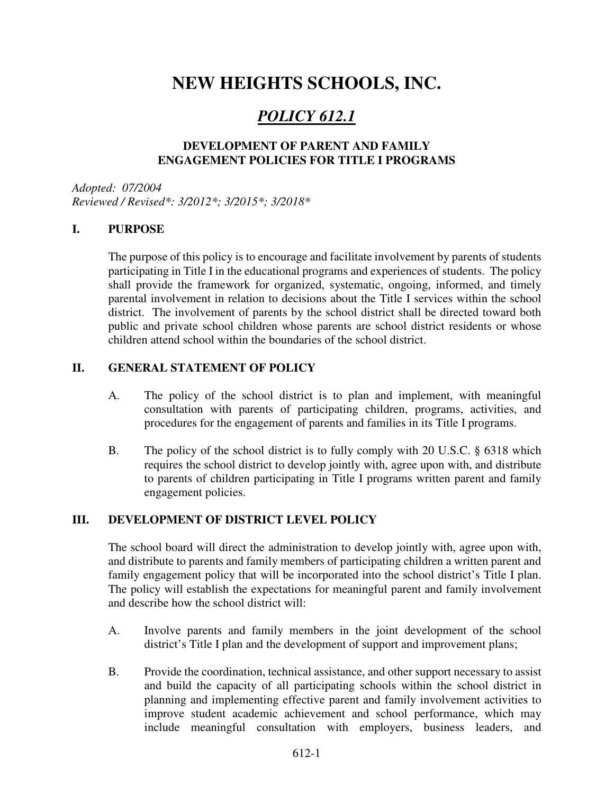# **NEW HEIGHTS SCHOOLS, INC.**

# *POLICY 612.1*

### **DEVELOPMENT OF PARENT AND FAMILY ENGAGEMENT POLICIES FOR TITLE I PROGRAMS**

*Adopted: 07/2004 Reviewed / Revised\*: 3/2012\*; 3/2015\*; 3/2018\** 

## **I. PURPOSE**

The purpose of this policy is to encourage and facilitate involvement by parents of students participating in Title I in the educational programs and experiences of students. The policy shall provide the framework for organized, systematic, ongoing, informed, and timely parental involvement in relation to decisions about the Title I services within the school district. The involvement of parents by the school district shall be directed toward both public and private school children whose parents are school district residents or whose children attend school within the boundaries of the school district.

#### **II. GENERAL STATEMENT OF POLICY**

- A. The policy of the school district is to plan and implement, with meaningful consultation with parents of participating children, programs, activities, and procedures for the engagement of parents and families in its Title I programs.
- B. The policy of the school district is to fully comply with 20 U.S.C. § 6318 which requires the school district to develop jointly with, agree upon with, and distribute to parents of children participating in Title I programs written parent and family engagement policies.

#### **III. DEVELOPMENT OF DISTRICT LEVEL POLICY**

The school board will direct the administration to develop jointly with, agree upon with, and distribute to parents and family members of participating children a written parent and family engagement policy that will be incorporated into the school district's Title I plan. The policy will establish the expectations for meaningful parent and family involvement and describe how the school district will:

- A. Involve parents and family members in the joint development of the school district's Title I plan and the development of support and improvement plans;
- B. Provide the coordination, technical assistance, and other support necessary to assist and build the capacity of all participating schools within the school district in planning and implementing effective parent and family involvement activities to improve student academic achievement and school performance, which may include meaningful consultation with employers, business leaders, and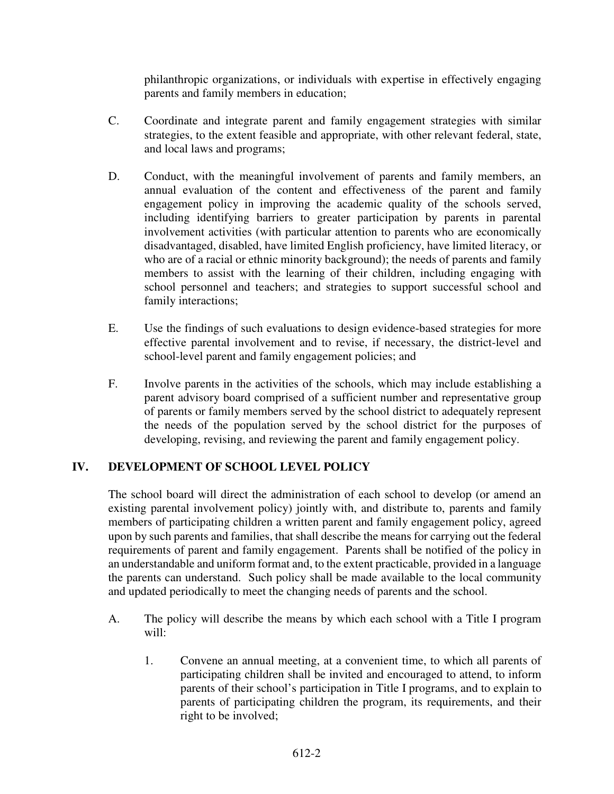philanthropic organizations, or individuals with expertise in effectively engaging parents and family members in education;

- C. Coordinate and integrate parent and family engagement strategies with similar strategies, to the extent feasible and appropriate, with other relevant federal, state, and local laws and programs;
- D. Conduct, with the meaningful involvement of parents and family members, an annual evaluation of the content and effectiveness of the parent and family engagement policy in improving the academic quality of the schools served, including identifying barriers to greater participation by parents in parental involvement activities (with particular attention to parents who are economically disadvantaged, disabled, have limited English proficiency, have limited literacy, or who are of a racial or ethnic minority background); the needs of parents and family members to assist with the learning of their children, including engaging with school personnel and teachers; and strategies to support successful school and family interactions;
- E. Use the findings of such evaluations to design evidence-based strategies for more effective parental involvement and to revise, if necessary, the district-level and school-level parent and family engagement policies; and
- F. Involve parents in the activities of the schools, which may include establishing a parent advisory board comprised of a sufficient number and representative group of parents or family members served by the school district to adequately represent the needs of the population served by the school district for the purposes of developing, revising, and reviewing the parent and family engagement policy.

# **IV. DEVELOPMENT OF SCHOOL LEVEL POLICY**

The school board will direct the administration of each school to develop (or amend an existing parental involvement policy) jointly with, and distribute to, parents and family members of participating children a written parent and family engagement policy, agreed upon by such parents and families, that shall describe the means for carrying out the federal requirements of parent and family engagement. Parents shall be notified of the policy in an understandable and uniform format and, to the extent practicable, provided in a language the parents can understand. Such policy shall be made available to the local community and updated periodically to meet the changing needs of parents and the school.

- A. The policy will describe the means by which each school with a Title I program will:
	- 1. Convene an annual meeting, at a convenient time, to which all parents of participating children shall be invited and encouraged to attend, to inform parents of their school's participation in Title I programs, and to explain to parents of participating children the program, its requirements, and their right to be involved;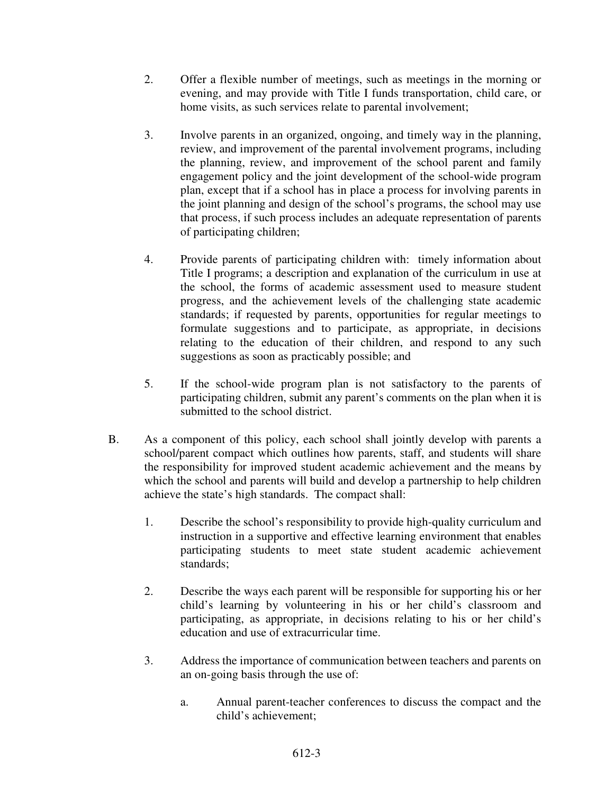- 2. Offer a flexible number of meetings, such as meetings in the morning or evening, and may provide with Title I funds transportation, child care, or home visits, as such services relate to parental involvement;
- 3. Involve parents in an organized, ongoing, and timely way in the planning, review, and improvement of the parental involvement programs, including the planning, review, and improvement of the school parent and family engagement policy and the joint development of the school-wide program plan, except that if a school has in place a process for involving parents in the joint planning and design of the school's programs, the school may use that process, if such process includes an adequate representation of parents of participating children;
- 4. Provide parents of participating children with: timely information about Title I programs; a description and explanation of the curriculum in use at the school, the forms of academic assessment used to measure student progress, and the achievement levels of the challenging state academic standards; if requested by parents, opportunities for regular meetings to formulate suggestions and to participate, as appropriate, in decisions relating to the education of their children, and respond to any such suggestions as soon as practicably possible; and
- 5. If the school-wide program plan is not satisfactory to the parents of participating children, submit any parent's comments on the plan when it is submitted to the school district.
- B. As a component of this policy, each school shall jointly develop with parents a school/parent compact which outlines how parents, staff, and students will share the responsibility for improved student academic achievement and the means by which the school and parents will build and develop a partnership to help children achieve the state's high standards. The compact shall:
	- 1. Describe the school's responsibility to provide high-quality curriculum and instruction in a supportive and effective learning environment that enables participating students to meet state student academic achievement standards;
	- 2. Describe the ways each parent will be responsible for supporting his or her child's learning by volunteering in his or her child's classroom and participating, as appropriate, in decisions relating to his or her child's education and use of extracurricular time.
	- 3. Address the importance of communication between teachers and parents on an on-going basis through the use of:
		- a. Annual parent-teacher conferences to discuss the compact and the child's achievement;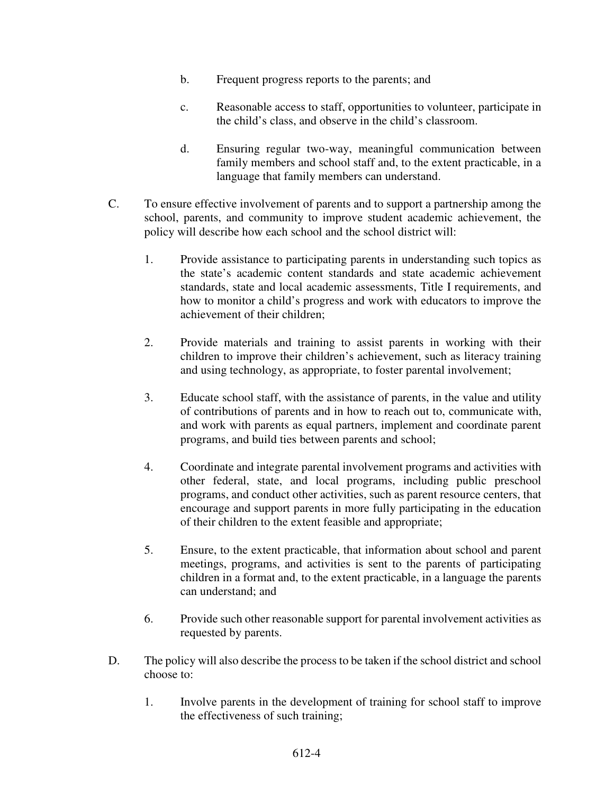- b. Frequent progress reports to the parents; and
- c. Reasonable access to staff, opportunities to volunteer, participate in the child's class, and observe in the child's classroom.
- d. Ensuring regular two-way, meaningful communication between family members and school staff and, to the extent practicable, in a language that family members can understand.
- C. To ensure effective involvement of parents and to support a partnership among the school, parents, and community to improve student academic achievement, the policy will describe how each school and the school district will:
	- 1. Provide assistance to participating parents in understanding such topics as the state's academic content standards and state academic achievement standards, state and local academic assessments, Title I requirements, and how to monitor a child's progress and work with educators to improve the achievement of their children;
	- 2. Provide materials and training to assist parents in working with their children to improve their children's achievement, such as literacy training and using technology, as appropriate, to foster parental involvement;
	- 3. Educate school staff, with the assistance of parents, in the value and utility of contributions of parents and in how to reach out to, communicate with, and work with parents as equal partners, implement and coordinate parent programs, and build ties between parents and school;
	- 4. Coordinate and integrate parental involvement programs and activities with other federal, state, and local programs, including public preschool programs, and conduct other activities, such as parent resource centers, that encourage and support parents in more fully participating in the education of their children to the extent feasible and appropriate;
	- 5. Ensure, to the extent practicable, that information about school and parent meetings, programs, and activities is sent to the parents of participating children in a format and, to the extent practicable, in a language the parents can understand; and
	- 6. Provide such other reasonable support for parental involvement activities as requested by parents.
- D. The policy will also describe the process to be taken if the school district and school choose to:
	- 1. Involve parents in the development of training for school staff to improve the effectiveness of such training;